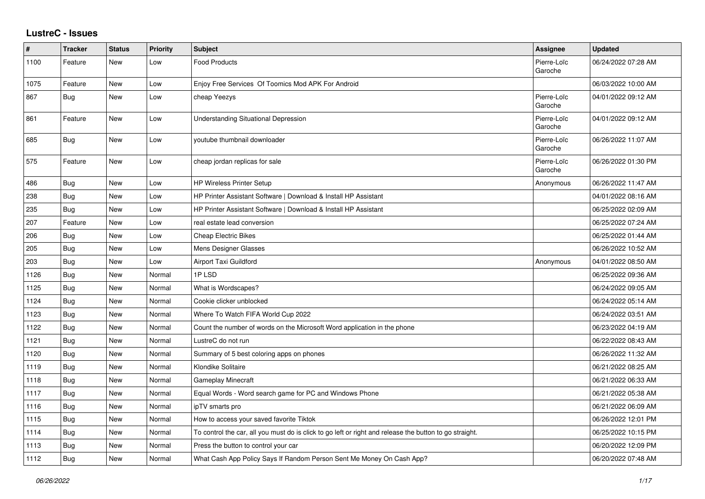## **LustreC - Issues**

| $\sharp$ | <b>Tracker</b> | <b>Status</b> | <b>Priority</b> | <b>Subject</b>                                                                                          | <b>Assignee</b>        | <b>Updated</b>      |
|----------|----------------|---------------|-----------------|---------------------------------------------------------------------------------------------------------|------------------------|---------------------|
| 1100     | Feature        | New           | Low             | <b>Food Products</b>                                                                                    | Pierre-Loïc<br>Garoche | 06/24/2022 07:28 AM |
| 1075     | Feature        | New           | Low             | Enjoy Free Services Of Toomics Mod APK For Android                                                      |                        | 06/03/2022 10:00 AM |
| 867      | <b>Bug</b>     | New           | Low             | cheap Yeezys                                                                                            | Pierre-Loïc<br>Garoche | 04/01/2022 09:12 AM |
| 861      | Feature        | New           | Low             | <b>Understanding Situational Depression</b>                                                             | Pierre-Loïc<br>Garoche | 04/01/2022 09:12 AM |
| 685      | <b>Bug</b>     | New           | Low             | youtube thumbnail downloader                                                                            | Pierre-Loïc<br>Garoche | 06/26/2022 11:07 AM |
| 575      | Feature        | New           | Low             | cheap jordan replicas for sale                                                                          | Pierre-Loïc<br>Garoche | 06/26/2022 01:30 PM |
| 486      | Bug            | New           | Low             | <b>HP Wireless Printer Setup</b>                                                                        | Anonymous              | 06/26/2022 11:47 AM |
| 238      | Bug            | <b>New</b>    | Low             | HP Printer Assistant Software   Download & Install HP Assistant                                         |                        | 04/01/2022 08:16 AM |
| 235      | Bug            | New           | Low             | HP Printer Assistant Software   Download & Install HP Assistant                                         |                        | 06/25/2022 02:09 AM |
| 207      | Feature        | <b>New</b>    | Low             | real estate lead conversion                                                                             |                        | 06/25/2022 07:24 AM |
| 206      | Bug            | New           | Low             | <b>Cheap Electric Bikes</b>                                                                             |                        | 06/25/2022 01:44 AM |
| 205      | <b>Bug</b>     | New           | Low             | Mens Designer Glasses                                                                                   |                        | 06/26/2022 10:52 AM |
| 203      | Bug            | New           | Low             | Airport Taxi Guildford                                                                                  | Anonymous              | 04/01/2022 08:50 AM |
| 1126     | <b>Bug</b>     | New           | Normal          | 1PLSD                                                                                                   |                        | 06/25/2022 09:36 AM |
| 1125     | <b>Bug</b>     | New           | Normal          | What is Wordscapes?                                                                                     |                        | 06/24/2022 09:05 AM |
| 1124     | Bug            | New           | Normal          | Cookie clicker unblocked                                                                                |                        | 06/24/2022 05:14 AM |
| 1123     | Bug            | New           | Normal          | Where To Watch FIFA World Cup 2022                                                                      |                        | 06/24/2022 03:51 AM |
| 1122     | <b>Bug</b>     | New           | Normal          | Count the number of words on the Microsoft Word application in the phone                                |                        | 06/23/2022 04:19 AM |
| 1121     | Bug            | New           | Normal          | LustreC do not run                                                                                      |                        | 06/22/2022 08:43 AM |
| 1120     | <b>Bug</b>     | <b>New</b>    | Normal          | Summary of 5 best coloring apps on phones                                                               |                        | 06/26/2022 11:32 AM |
| 1119     | Bug            | New           | Normal          | Klondike Solitaire                                                                                      |                        | 06/21/2022 08:25 AM |
| 1118     | <b>Bug</b>     | New           | Normal          | Gameplay Minecraft                                                                                      |                        | 06/21/2022 06:33 AM |
| 1117     | Bug            | New           | Normal          | Equal Words - Word search game for PC and Windows Phone                                                 |                        | 06/21/2022 05:38 AM |
| 1116     | <b>Bug</b>     | New           | Normal          | ipTV smarts pro                                                                                         |                        | 06/21/2022 06:09 AM |
| 1115     | <b>Bug</b>     | New           | Normal          | How to access your saved favorite Tiktok                                                                |                        | 06/26/2022 12:01 PM |
| 1114     | Bug            | New           | Normal          | To control the car, all you must do is click to go left or right and release the button to go straight. |                        | 06/25/2022 10:15 PM |
| 1113     | Bug            | New           | Normal          | Press the button to control your car                                                                    |                        | 06/20/2022 12:09 PM |
| 1112     | <b>Bug</b>     | New           | Normal          | What Cash App Policy Says If Random Person Sent Me Money On Cash App?                                   |                        | 06/20/2022 07:48 AM |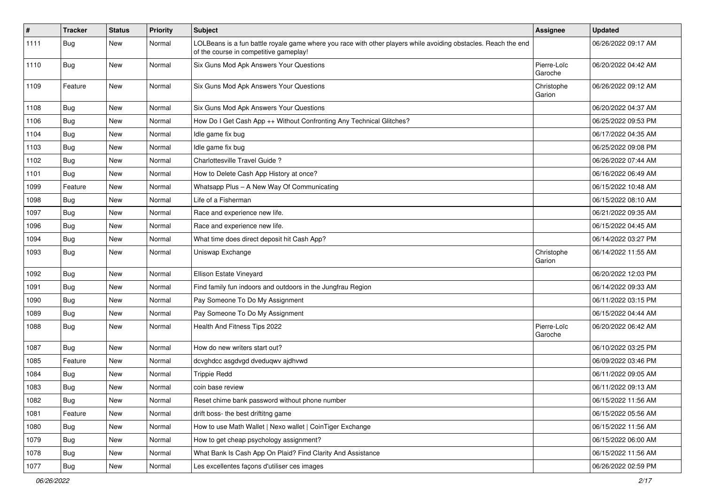| $\pmb{\#}$ | <b>Tracker</b> | <b>Status</b> | <b>Priority</b> | Subject                                                                                                                                                  | Assignee               | <b>Updated</b>      |
|------------|----------------|---------------|-----------------|----------------------------------------------------------------------------------------------------------------------------------------------------------|------------------------|---------------------|
| 1111       | Bug            | New           | Normal          | LOLBeans is a fun battle royale game where you race with other players while avoiding obstacles. Reach the end<br>of the course in competitive gameplay! |                        | 06/26/2022 09:17 AM |
| 1110       | <b>Bug</b>     | <b>New</b>    | Normal          | Six Guns Mod Apk Answers Your Questions                                                                                                                  | Pierre-Loïc<br>Garoche | 06/20/2022 04:42 AM |
| 1109       | Feature        | <b>New</b>    | Normal          | Six Guns Mod Apk Answers Your Questions                                                                                                                  | Christophe<br>Garion   | 06/26/2022 09:12 AM |
| 1108       | Bug            | <b>New</b>    | Normal          | Six Guns Mod Apk Answers Your Questions                                                                                                                  |                        | 06/20/2022 04:37 AM |
| 1106       | Bug            | <b>New</b>    | Normal          | How Do I Get Cash App ++ Without Confronting Any Technical Glitches?                                                                                     |                        | 06/25/2022 09:53 PM |
| 1104       | Bug            | New           | Normal          | Idle game fix bug                                                                                                                                        |                        | 06/17/2022 04:35 AM |
| 1103       | <b>Bug</b>     | <b>New</b>    | Normal          | Idle game fix bug                                                                                                                                        |                        | 06/25/2022 09:08 PM |
| 1102       | Bug            | New           | Normal          | Charlottesville Travel Guide?                                                                                                                            |                        | 06/26/2022 07:44 AM |
| 1101       | <b>Bug</b>     | <b>New</b>    | Normal          | How to Delete Cash App History at once?                                                                                                                  |                        | 06/16/2022 06:49 AM |
| 1099       | Feature        | <b>New</b>    | Normal          | Whatsapp Plus - A New Way Of Communicating                                                                                                               |                        | 06/15/2022 10:48 AM |
| 1098       | Bug            | New           | Normal          | Life of a Fisherman                                                                                                                                      |                        | 06/15/2022 08:10 AM |
| 1097       | <b>Bug</b>     | <b>New</b>    | Normal          | Race and experience new life.                                                                                                                            |                        | 06/21/2022 09:35 AM |
| 1096       | Bug            | New           | Normal          | Race and experience new life.                                                                                                                            |                        | 06/15/2022 04:45 AM |
| 1094       | Bug            | <b>New</b>    | Normal          | What time does direct deposit hit Cash App?                                                                                                              |                        | 06/14/2022 03:27 PM |
| 1093       | Bug            | New           | Normal          | Uniswap Exchange                                                                                                                                         | Christophe<br>Garion   | 06/14/2022 11:55 AM |
| 1092       | <b>Bug</b>     | <b>New</b>    | Normal          | Ellison Estate Vineyard                                                                                                                                  |                        | 06/20/2022 12:03 PM |
| 1091       | Bug            | <b>New</b>    | Normal          | Find family fun indoors and outdoors in the Jungfrau Region                                                                                              |                        | 06/14/2022 09:33 AM |
| 1090       | Bug            | New           | Normal          | Pay Someone To Do My Assignment                                                                                                                          |                        | 06/11/2022 03:15 PM |
| 1089       | <b>Bug</b>     | <b>New</b>    | Normal          | Pay Someone To Do My Assignment                                                                                                                          |                        | 06/15/2022 04:44 AM |
| 1088       | Bug            | New           | Normal          | Health And Fitness Tips 2022                                                                                                                             | Pierre-Loïc<br>Garoche | 06/20/2022 06:42 AM |
| 1087       | Bug            | <b>New</b>    | Normal          | How do new writers start out?                                                                                                                            |                        | 06/10/2022 03:25 PM |
| 1085       | Feature        | New           | Normal          | dcvghdcc asgdvgd dveduqwv ajdhvwd                                                                                                                        |                        | 06/09/2022 03:46 PM |
| 1084       | <b>Bug</b>     | New           | Normal          | <b>Trippie Redd</b>                                                                                                                                      |                        | 06/11/2022 09:05 AM |
| 1083       | <b>Bug</b>     | <b>New</b>    | Normal          | coin base review                                                                                                                                         |                        | 06/11/2022 09:13 AM |
| 1082       | Bug            | New           | Normal          | Reset chime bank password without phone number                                                                                                           |                        | 06/15/2022 11:56 AM |
| 1081       | Feature        | <b>New</b>    | Normal          | drift boss- the best driftitng game                                                                                                                      |                        | 06/15/2022 05:56 AM |
| 1080       | <b>Bug</b>     | New           | Normal          | How to use Math Wallet   Nexo wallet   CoinTiger Exchange                                                                                                |                        | 06/15/2022 11:56 AM |
| 1079       | Bug            | New           | Normal          | How to get cheap psychology assignment?                                                                                                                  |                        | 06/15/2022 06:00 AM |
| 1078       | Bug            | New           | Normal          | What Bank Is Cash App On Plaid? Find Clarity And Assistance                                                                                              |                        | 06/15/2022 11:56 AM |
| 1077       | <b>Bug</b>     | New           | Normal          | Les excellentes façons d'utiliser ces images                                                                                                             |                        | 06/26/2022 02:59 PM |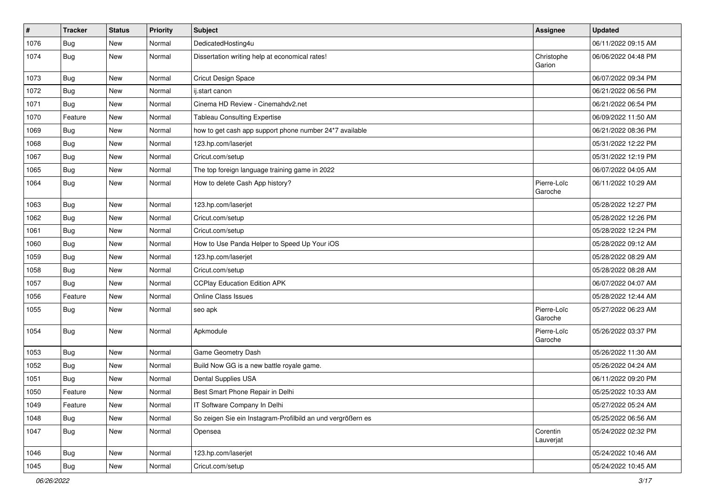| $\pmb{\#}$ | <b>Tracker</b> | <b>Status</b> | <b>Priority</b> | Subject                                                     | Assignee               | <b>Updated</b>      |
|------------|----------------|---------------|-----------------|-------------------------------------------------------------|------------------------|---------------------|
| 1076       | <b>Bug</b>     | New           | Normal          | DedicatedHosting4u                                          |                        | 06/11/2022 09:15 AM |
| 1074       | Bug            | New           | Normal          | Dissertation writing help at economical rates!              | Christophe<br>Garion   | 06/06/2022 04:48 PM |
| 1073       | <b>Bug</b>     | New           | Normal          | Cricut Design Space                                         |                        | 06/07/2022 09:34 PM |
| 1072       | Bug            | <b>New</b>    | Normal          | ij.start canon                                              |                        | 06/21/2022 06:56 PM |
| 1071       | <b>Bug</b>     | New           | Normal          | Cinema HD Review - Cinemahdy2.net                           |                        | 06/21/2022 06:54 PM |
| 1070       | Feature        | <b>New</b>    | Normal          | <b>Tableau Consulting Expertise</b>                         |                        | 06/09/2022 11:50 AM |
| 1069       | <b>Bug</b>     | New           | Normal          | how to get cash app support phone number 24*7 available     |                        | 06/21/2022 08:36 PM |
| 1068       | <b>Bug</b>     | New           | Normal          | 123.hp.com/laserjet                                         |                        | 05/31/2022 12:22 PM |
| 1067       | <b>Bug</b>     | <b>New</b>    | Normal          | Cricut.com/setup                                            |                        | 05/31/2022 12:19 PM |
| 1065       | Bug            | New           | Normal          | The top foreign language training game in 2022              |                        | 06/07/2022 04:05 AM |
| 1064       | Bug            | New           | Normal          | How to delete Cash App history?                             | Pierre-Loïc<br>Garoche | 06/11/2022 10:29 AM |
| 1063       | <b>Bug</b>     | <b>New</b>    | Normal          | 123.hp.com/laserjet                                         |                        | 05/28/2022 12:27 PM |
| 1062       | <b>Bug</b>     | <b>New</b>    | Normal          | Cricut.com/setup                                            |                        | 05/28/2022 12:26 PM |
| 1061       | <b>Bug</b>     | New           | Normal          | Cricut.com/setup                                            |                        | 05/28/2022 12:24 PM |
| 1060       | <b>Bug</b>     | New           | Normal          | How to Use Panda Helper to Speed Up Your iOS                |                        | 05/28/2022 09:12 AM |
| 1059       | <b>Bug</b>     | <b>New</b>    | Normal          | 123.hp.com/laserjet                                         |                        | 05/28/2022 08:29 AM |
| 1058       | <b>Bug</b>     | New           | Normal          | Cricut.com/setup                                            |                        | 05/28/2022 08:28 AM |
| 1057       | Bug            | New           | Normal          | <b>CCPlay Education Edition APK</b>                         |                        | 06/07/2022 04:07 AM |
| 1056       | Feature        | New           | Normal          | Online Class Issues                                         |                        | 05/28/2022 12:44 AM |
| 1055       | Bug            | New           | Normal          | seo apk                                                     | Pierre-Loïc<br>Garoche | 05/27/2022 06:23 AM |
| 1054       | <b>Bug</b>     | New           | Normal          | Apkmodule                                                   | Pierre-Loïc<br>Garoche | 05/26/2022 03:37 PM |
| 1053       | <b>Bug</b>     | <b>New</b>    | Normal          | <b>Game Geometry Dash</b>                                   |                        | 05/26/2022 11:30 AM |
| 1052       | Bug            | New           | Normal          | Build Now GG is a new battle royale game.                   |                        | 05/26/2022 04:24 AM |
| 1051       | Bug            | New           | Normal          | Dental Supplies USA                                         |                        | 06/11/2022 09:20 PM |
| 1050       | Feature        | New           | Normal          | Best Smart Phone Repair in Delhi                            |                        | 05/25/2022 10:33 AM |
| 1049       | Feature        | New           | Normal          | IT Software Company In Delhi                                |                        | 05/27/2022 05:24 AM |
| 1048       | Bug            | New           | Normal          | So zeigen Sie ein Instagram-Profilbild an und vergrößern es |                        | 05/25/2022 06:56 AM |
| 1047       | Bug            | New           | Normal          | Opensea                                                     | Corentin<br>Lauverjat  | 05/24/2022 02:32 PM |
| 1046       | <b>Bug</b>     | New           | Normal          | 123.hp.com/laserjet                                         |                        | 05/24/2022 10:46 AM |
| 1045       | Bug            | New           | Normal          | Cricut.com/setup                                            |                        | 05/24/2022 10:45 AM |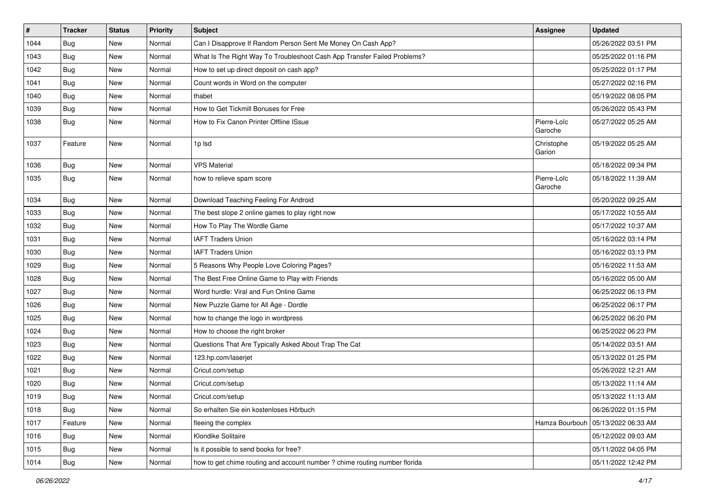| $\vert$ # | Tracker    | <b>Status</b> | <b>Priority</b> | <b>Subject</b>                                                             | <b>Assignee</b>        | <b>Updated</b>      |
|-----------|------------|---------------|-----------------|----------------------------------------------------------------------------|------------------------|---------------------|
| 1044      | <b>Bug</b> | New           | Normal          | Can I Disapprove If Random Person Sent Me Money On Cash App?               |                        | 05/26/2022 03:51 PM |
| 1043      | Bug        | <b>New</b>    | Normal          | What Is The Right Way To Troubleshoot Cash App Transfer Failed Problems?   |                        | 05/25/2022 01:16 PM |
| 1042      | Bug        | New           | Normal          | How to set up direct deposit on cash app?                                  |                        | 05/25/2022 01:17 PM |
| 1041      | Bug        | New           | Normal          | Count words in Word on the computer                                        |                        | 05/27/2022 02:16 PM |
| 1040      | Bug        | <b>New</b>    | Normal          | thabet                                                                     |                        | 05/19/2022 08:05 PM |
| 1039      | Bug        | New           | Normal          | How to Get Tickmill Bonuses for Free                                       |                        | 05/26/2022 05:43 PM |
| 1038      | <b>Bug</b> | New           | Normal          | How to Fix Canon Printer Offline ISsue                                     | Pierre-Loïc<br>Garoche | 05/27/2022 05:25 AM |
| 1037      | Feature    | New           | Normal          | 1p lsd                                                                     | Christophe<br>Garion   | 05/19/2022 05:25 AM |
| 1036      | <b>Bug</b> | New           | Normal          | <b>VPS Material</b>                                                        |                        | 05/18/2022 09:34 PM |
| 1035      | <b>Bug</b> | New           | Normal          | how to relieve spam score                                                  | Pierre-Loïc<br>Garoche | 05/18/2022 11:39 AM |
| 1034      | Bug        | New           | Normal          | Download Teaching Feeling For Android                                      |                        | 05/20/2022 09:25 AM |
| 1033      | <b>Bug</b> | New           | Normal          | The best slope 2 online games to play right now                            |                        | 05/17/2022 10:55 AM |
| 1032      | <b>Bug</b> | New           | Normal          | How To Play The Wordle Game                                                |                        | 05/17/2022 10:37 AM |
| 1031      | Bug        | New           | Normal          | <b>IAFT Traders Union</b>                                                  |                        | 05/16/2022 03:14 PM |
| 1030      | Bug        | New           | Normal          | <b>IAFT Traders Union</b>                                                  |                        | 05/16/2022 03:13 PM |
| 1029      | <b>Bug</b> | New           | Normal          | 5 Reasons Why People Love Coloring Pages?                                  |                        | 05/16/2022 11:53 AM |
| 1028      | Bug        | New           | Normal          | The Best Free Online Game to Play with Friends                             |                        | 05/16/2022 05:00 AM |
| 1027      | Bug        | <b>New</b>    | Normal          | Word hurdle: Viral and Fun Online Game                                     |                        | 06/25/2022 06:13 PM |
| 1026      | <b>Bug</b> | New           | Normal          | New Puzzle Game for All Age - Dordle                                       |                        | 06/25/2022 06:17 PM |
| 1025      | Bug        | New           | Normal          | how to change the logo in wordpress                                        |                        | 06/25/2022 06:20 PM |
| 1024      | <b>Bug</b> | New           | Normal          | How to choose the right broker                                             |                        | 06/25/2022 06:23 PM |
| 1023      | Bug        | <b>New</b>    | Normal          | Questions That Are Typically Asked About Trap The Cat                      |                        | 05/14/2022 03:51 AM |
| 1022      | Bug        | <b>New</b>    | Normal          | 123.hp.com/laserjet                                                        |                        | 05/13/2022 01:25 PM |
| 1021      | <b>Bug</b> | New           | Normal          | Cricut.com/setup                                                           |                        | 05/26/2022 12:21 AM |
| 1020      | <b>Bug</b> | New           | Normal          | Cricut.com/setup                                                           |                        | 05/13/2022 11:14 AM |
| 1019      | Bug        | New           | Normal          | Cricut.com/setup                                                           |                        | 05/13/2022 11:13 AM |
| 1018      | Bug        | New           | Normal          | So erhalten Sie ein kostenloses Hörbuch                                    |                        | 06/26/2022 01:15 PM |
| 1017      | Feature    | New           | Normal          | fleeing the complex                                                        | Hamza Bourbouh         | 05/13/2022 06:33 AM |
| 1016      | <b>Bug</b> | New           | Normal          | Klondike Solitaire                                                         |                        | 05/12/2022 09:03 AM |
| 1015      | <b>Bug</b> | New           | Normal          | Is it possible to send books for free?                                     |                        | 05/11/2022 04:05 PM |
| 1014      | <b>Bug</b> | New           | Normal          | how to get chime routing and account number ? chime routing number florida |                        | 05/11/2022 12:42 PM |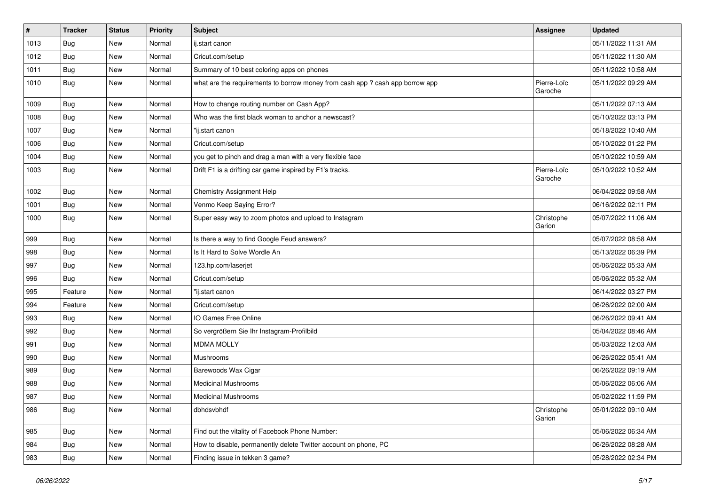| $\sharp$ | <b>Tracker</b> | <b>Status</b> | <b>Priority</b> | <b>Subject</b>                                                                | <b>Assignee</b>        | <b>Updated</b>      |
|----------|----------------|---------------|-----------------|-------------------------------------------------------------------------------|------------------------|---------------------|
| 1013     | Bug            | New           | Normal          | ij.start canon                                                                |                        | 05/11/2022 11:31 AM |
| 1012     | Bug            | New           | Normal          | Cricut.com/setup                                                              |                        | 05/11/2022 11:30 AM |
| 1011     | Bug            | New           | Normal          | Summary of 10 best coloring apps on phones                                    |                        | 05/11/2022 10:58 AM |
| 1010     | Bug            | New           | Normal          | what are the requirements to borrow money from cash app ? cash app borrow app | Pierre-Loïc<br>Garoche | 05/11/2022 09:29 AM |
| 1009     | Bug            | New           | Normal          | How to change routing number on Cash App?                                     |                        | 05/11/2022 07:13 AM |
| 1008     | Bug            | New           | Normal          | Who was the first black woman to anchor a newscast?                           |                        | 05/10/2022 03:13 PM |
| 1007     | Bug            | New           | Normal          | "ij.start canon                                                               |                        | 05/18/2022 10:40 AM |
| 1006     | Bug            | New           | Normal          | Cricut.com/setup                                                              |                        | 05/10/2022 01:22 PM |
| 1004     | Bug            | New           | Normal          | you get to pinch and drag a man with a very flexible face                     |                        | 05/10/2022 10:59 AM |
| 1003     | Bug            | New           | Normal          | Drift F1 is a drifting car game inspired by F1's tracks.                      | Pierre-Loïc<br>Garoche | 05/10/2022 10:52 AM |
| 1002     | Bug            | New           | Normal          | <b>Chemistry Assignment Help</b>                                              |                        | 06/04/2022 09:58 AM |
| 1001     | <b>Bug</b>     | New           | Normal          | Venmo Keep Saying Error?                                                      |                        | 06/16/2022 02:11 PM |
| 1000     | Bug            | New           | Normal          | Super easy way to zoom photos and upload to Instagram                         | Christophe<br>Garion   | 05/07/2022 11:06 AM |
| 999      | Bug            | New           | Normal          | Is there a way to find Google Feud answers?                                   |                        | 05/07/2022 08:58 AM |
| 998      | Bug            | New           | Normal          | Is It Hard to Solve Wordle An                                                 |                        | 05/13/2022 06:39 PM |
| 997      | Bug            | New           | Normal          | 123.hp.com/laserjet                                                           |                        | 05/06/2022 05:33 AM |
| 996      | Bug            | New           | Normal          | Cricut.com/setup                                                              |                        | 05/06/2022 05:32 AM |
| 995      | Feature        | New           | Normal          | "ij.start canon                                                               |                        | 06/14/2022 03:27 PM |
| 994      | Feature        | New           | Normal          | Cricut.com/setup                                                              |                        | 06/26/2022 02:00 AM |
| 993      | <b>Bug</b>     | New           | Normal          | IO Games Free Online                                                          |                        | 06/26/2022 09:41 AM |
| 992      | Bug            | New           | Normal          | So vergrößern Sie Ihr Instagram-Profilbild                                    |                        | 05/04/2022 08:46 AM |
| 991      | Bug            | New           | Normal          | <b>MDMA MOLLY</b>                                                             |                        | 05/03/2022 12:03 AM |
| 990      | <b>Bug</b>     | New           | Normal          | Mushrooms                                                                     |                        | 06/26/2022 05:41 AM |
| 989      | Bug            | New           | Normal          | Barewoods Wax Cigar                                                           |                        | 06/26/2022 09:19 AM |
| 988      | Bug            | New           | Normal          | <b>Medicinal Mushrooms</b>                                                    |                        | 05/06/2022 06:06 AM |
| 987      | Bug            | New           | Normal          | <b>Medicinal Mushrooms</b>                                                    |                        | 05/02/2022 11:59 PM |
| 986      | <b>Bug</b>     | New           | Normal          | dbhdsvbhdf                                                                    | Christophe<br>Garion   | 05/01/2022 09:10 AM |
| 985      | Bug            | New           | Normal          | Find out the vitality of Facebook Phone Number:                               |                        | 05/06/2022 06:34 AM |
| 984      | <b>Bug</b>     | New           | Normal          | How to disable, permanently delete Twitter account on phone, PC               |                        | 06/26/2022 08:28 AM |
| 983      | <b>Bug</b>     | New           | Normal          | Finding issue in tekken 3 game?                                               |                        | 05/28/2022 02:34 PM |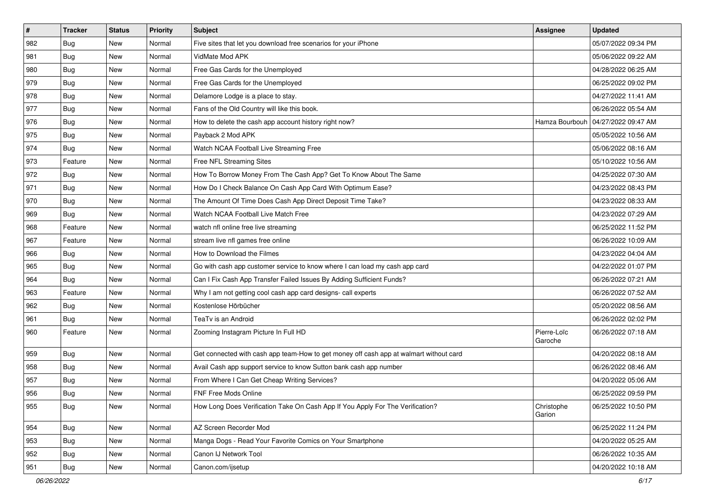| $\vert$ # | <b>Tracker</b> | <b>Status</b> | <b>Priority</b> | Subject                                                                                | Assignee               | <b>Updated</b>      |
|-----------|----------------|---------------|-----------------|----------------------------------------------------------------------------------------|------------------------|---------------------|
| 982       | <b>Bug</b>     | New           | Normal          | Five sites that let you download free scenarios for your iPhone                        |                        | 05/07/2022 09:34 PM |
| 981       | <b>Bug</b>     | New           | Normal          | VidMate Mod APK                                                                        |                        | 05/06/2022 09:22 AM |
| 980       | Bug            | New           | Normal          | Free Gas Cards for the Unemployed                                                      |                        | 04/28/2022 06:25 AM |
| 979       | <b>Bug</b>     | New           | Normal          | Free Gas Cards for the Unemployed                                                      |                        | 06/25/2022 09:02 PM |
| 978       | <b>Bug</b>     | New           | Normal          | Delamore Lodge is a place to stay.                                                     |                        | 04/27/2022 11:41 AM |
| 977       | <b>Bug</b>     | New           | Normal          | Fans of the Old Country will like this book.                                           |                        | 06/26/2022 05:54 AM |
| 976       | Bug            | New           | Normal          | How to delete the cash app account history right now?                                  | Hamza Bourbouh         | 04/27/2022 09:47 AM |
| 975       | <b>Bug</b>     | New           | Normal          | Payback 2 Mod APK                                                                      |                        | 05/05/2022 10:56 AM |
| 974       | Bug            | New           | Normal          | Watch NCAA Football Live Streaming Free                                                |                        | 05/06/2022 08:16 AM |
| 973       | Feature        | New           | Normal          | Free NFL Streaming Sites                                                               |                        | 05/10/2022 10:56 AM |
| 972       | <b>Bug</b>     | New           | Normal          | How To Borrow Money From The Cash App? Get To Know About The Same                      |                        | 04/25/2022 07:30 AM |
| 971       | <b>Bug</b>     | New           | Normal          | How Do I Check Balance On Cash App Card With Optimum Ease?                             |                        | 04/23/2022 08:43 PM |
| 970       | Bug            | New           | Normal          | The Amount Of Time Does Cash App Direct Deposit Time Take?                             |                        | 04/23/2022 08:33 AM |
| 969       | <b>Bug</b>     | New           | Normal          | Watch NCAA Football Live Match Free                                                    |                        | 04/23/2022 07:29 AM |
| 968       | Feature        | New           | Normal          | watch nfl online free live streaming                                                   |                        | 06/25/2022 11:52 PM |
| 967       | Feature        | New           | Normal          | stream live nfl games free online                                                      |                        | 06/26/2022 10:09 AM |
| 966       | <b>Bug</b>     | New           | Normal          | How to Download the Filmes                                                             |                        | 04/23/2022 04:04 AM |
| 965       | Bug            | New           | Normal          | Go with cash app customer service to know where I can load my cash app card            |                        | 04/22/2022 01:07 PM |
| 964       | Bug            | New           | Normal          | Can I Fix Cash App Transfer Failed Issues By Adding Sufficient Funds?                  |                        | 06/26/2022 07:21 AM |
| 963       | Feature        | New           | Normal          | Why I am not getting cool cash app card designs- call experts                          |                        | 06/26/2022 07:52 AM |
| 962       | <b>Bug</b>     | New           | Normal          | Kostenlose Hörbücher                                                                   |                        | 05/20/2022 08:56 AM |
| 961       | <b>Bug</b>     | New           | Normal          | TeaTv is an Android                                                                    |                        | 06/26/2022 02:02 PM |
| 960       | Feature        | New           | Normal          | Zooming Instagram Picture In Full HD                                                   | Pierre-Loïc<br>Garoche | 06/26/2022 07:18 AM |
| 959       | <b>Bug</b>     | New           | Normal          | Get connected with cash app team-How to get money off cash app at walmart without card |                        | 04/20/2022 08:18 AM |
| 958       | <b>Bug</b>     | New           | Normal          | Avail Cash app support service to know Sutton bank cash app number                     |                        | 06/26/2022 08:46 AM |
| 957       | <b>Bug</b>     | New           | Normal          | From Where I Can Get Cheap Writing Services?                                           |                        | 04/20/2022 05:06 AM |
| 956       | <b>Bug</b>     | New           | Normal          | <b>FNF Free Mods Online</b>                                                            |                        | 06/25/2022 09:59 PM |
| 955       | <b>Bug</b>     | New           | Normal          | How Long Does Verification Take On Cash App If You Apply For The Verification?         | Christophe<br>Garion   | 06/25/2022 10:50 PM |
| 954       | <b>Bug</b>     | New           | Normal          | AZ Screen Recorder Mod                                                                 |                        | 06/25/2022 11:24 PM |
| 953       | <b>Bug</b>     | New           | Normal          | Manga Dogs - Read Your Favorite Comics on Your Smartphone                              |                        | 04/20/2022 05:25 AM |
| 952       | <b>Bug</b>     | New           | Normal          | Canon IJ Network Tool                                                                  |                        | 06/26/2022 10:35 AM |
| 951       | <b>Bug</b>     | New           | Normal          | Canon.com/ijsetup                                                                      |                        | 04/20/2022 10:18 AM |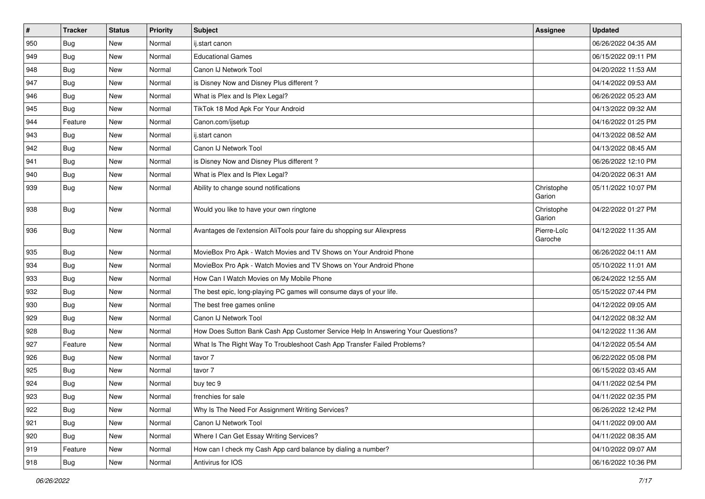| #   | <b>Tracker</b> | <b>Status</b> | <b>Priority</b> | Subject                                                                          | Assignee               | <b>Updated</b>      |
|-----|----------------|---------------|-----------------|----------------------------------------------------------------------------------|------------------------|---------------------|
| 950 | Bug            | New           | Normal          | ij.start canon                                                                   |                        | 06/26/2022 04:35 AM |
| 949 | Bug            | <b>New</b>    | Normal          | <b>Educational Games</b>                                                         |                        | 06/15/2022 09:11 PM |
| 948 | Bug            | New           | Normal          | Canon IJ Network Tool                                                            |                        | 04/20/2022 11:53 AM |
| 947 | Bug            | New           | Normal          | is Disney Now and Disney Plus different?                                         |                        | 04/14/2022 09:53 AM |
| 946 | Bug            | <b>New</b>    | Normal          | What is Plex and Is Plex Legal?                                                  |                        | 06/26/2022 05:23 AM |
| 945 | <b>Bug</b>     | New           | Normal          | TikTok 18 Mod Apk For Your Android                                               |                        | 04/13/2022 09:32 AM |
| 944 | Feature        | <b>New</b>    | Normal          | Canon.com/ijsetup                                                                |                        | 04/16/2022 01:25 PM |
| 943 | <b>Bug</b>     | New           | Normal          | ij.start canon                                                                   |                        | 04/13/2022 08:52 AM |
| 942 | Bug            | New           | Normal          | Canon IJ Network Tool                                                            |                        | 04/13/2022 08:45 AM |
| 941 | Bug            | <b>New</b>    | Normal          | is Disney Now and Disney Plus different?                                         |                        | 06/26/2022 12:10 PM |
| 940 | <b>Bug</b>     | New           | Normal          | What is Plex and Is Plex Legal?                                                  |                        | 04/20/2022 06:31 AM |
| 939 | <b>Bug</b>     | New           | Normal          | Ability to change sound notifications                                            | Christophe<br>Garion   | 05/11/2022 10:07 PM |
| 938 | Bug            | <b>New</b>    | Normal          | Would you like to have your own ringtone                                         | Christophe<br>Garion   | 04/22/2022 01:27 PM |
| 936 | Bug            | New           | Normal          | Avantages de l'extension AliTools pour faire du shopping sur Aliexpress          | Pierre-Loïc<br>Garoche | 04/12/2022 11:35 AM |
| 935 | Bug            | <b>New</b>    | Normal          | MovieBox Pro Apk - Watch Movies and TV Shows on Your Android Phone               |                        | 06/26/2022 04:11 AM |
| 934 | <b>Bug</b>     | New           | Normal          | MovieBox Pro Apk - Watch Movies and TV Shows on Your Android Phone               |                        | 05/10/2022 11:01 AM |
| 933 | Bug            | New           | Normal          | How Can I Watch Movies on My Mobile Phone                                        |                        | 06/24/2022 12:55 AM |
| 932 | Bug            | <b>New</b>    | Normal          | The best epic, long-playing PC games will consume days of your life.             |                        | 05/15/2022 07:44 PM |
| 930 | <b>Bug</b>     | New           | Normal          | The best free games online                                                       |                        | 04/12/2022 09:05 AM |
| 929 | <b>Bug</b>     | <b>New</b>    | Normal          | Canon IJ Network Tool                                                            |                        | 04/12/2022 08:32 AM |
| 928 | Bug            | New           | Normal          | How Does Sutton Bank Cash App Customer Service Help In Answering Your Questions? |                        | 04/12/2022 11:36 AM |
| 927 | Feature        | <b>New</b>    | Normal          | What Is The Right Way To Troubleshoot Cash App Transfer Failed Problems?         |                        | 04/12/2022 05:54 AM |
| 926 | Bug            | <b>New</b>    | Normal          | tavor 7                                                                          |                        | 06/22/2022 05:08 PM |
| 925 | <b>Bug</b>     | New           | Normal          | tavor 7                                                                          |                        | 06/15/2022 03:45 AM |
| 924 | <b>Bug</b>     | New           | Normal          | buy tec 9                                                                        |                        | 04/11/2022 02:54 PM |
| 923 | Bug            | New           | Normal          | frenchies for sale                                                               |                        | 04/11/2022 02:35 PM |
| 922 | Bug            | New           | Normal          | Why Is The Need For Assignment Writing Services?                                 |                        | 06/26/2022 12:42 PM |
| 921 | <b>Bug</b>     | New           | Normal          | Canon IJ Network Tool                                                            |                        | 04/11/2022 09:00 AM |
| 920 | <b>Bug</b>     | New           | Normal          | Where I Can Get Essay Writing Services?                                          |                        | 04/11/2022 08:35 AM |
| 919 | Feature        | New           | Normal          | How can I check my Cash App card balance by dialing a number?                    |                        | 04/10/2022 09:07 AM |
| 918 | Bug            | New           | Normal          | Antivirus for IOS                                                                |                        | 06/16/2022 10:36 PM |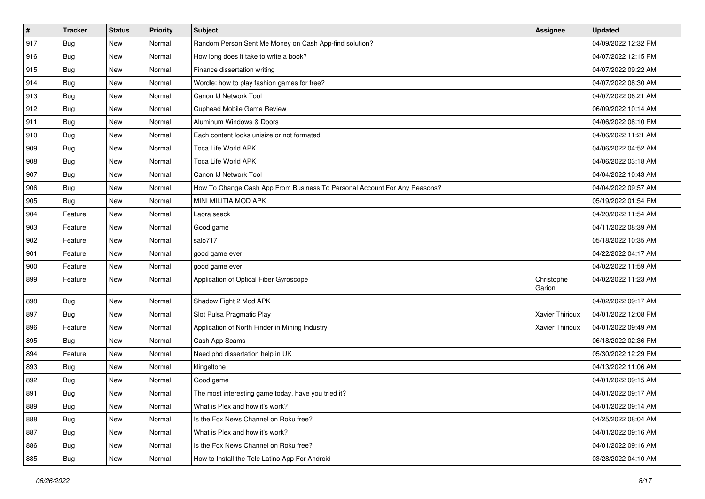| $\vert$ # | <b>Tracker</b> | <b>Status</b> | <b>Priority</b> | <b>Subject</b>                                                            | Assignee             | <b>Updated</b>      |
|-----------|----------------|---------------|-----------------|---------------------------------------------------------------------------|----------------------|---------------------|
| 917       | <b>Bug</b>     | New           | Normal          | Random Person Sent Me Money on Cash App-find solution?                    |                      | 04/09/2022 12:32 PM |
| 916       | <b>Bug</b>     | <b>New</b>    | Normal          | How long does it take to write a book?                                    |                      | 04/07/2022 12:15 PM |
| 915       | Bug            | New           | Normal          | Finance dissertation writing                                              |                      | 04/07/2022 09:22 AM |
| 914       | <b>Bug</b>     | New           | Normal          | Wordle: how to play fashion games for free?                               |                      | 04/07/2022 08:30 AM |
| 913       | <b>Bug</b>     | <b>New</b>    | Normal          | Canon IJ Network Tool                                                     |                      | 04/07/2022 06:21 AM |
| 912       | <b>Bug</b>     | <b>New</b>    | Normal          | Cuphead Mobile Game Review                                                |                      | 06/09/2022 10:14 AM |
| 911       | <b>Bug</b>     | <b>New</b>    | Normal          | Aluminum Windows & Doors                                                  |                      | 04/06/2022 08:10 PM |
| 910       | <b>Bug</b>     | New           | Normal          | Each content looks unisize or not formated                                |                      | 04/06/2022 11:21 AM |
| 909       | <b>Bug</b>     | New           | Normal          | Toca Life World APK                                                       |                      | 04/06/2022 04:52 AM |
| 908       | Bug            | <b>New</b>    | Normal          | Toca Life World APK                                                       |                      | 04/06/2022 03:18 AM |
| 907       | <b>Bug</b>     | New           | Normal          | Canon IJ Network Tool                                                     |                      | 04/04/2022 10:43 AM |
| 906       | <b>Bug</b>     | New           | Normal          | How To Change Cash App From Business To Personal Account For Any Reasons? |                      | 04/04/2022 09:57 AM |
| 905       | <b>Bug</b>     | <b>New</b>    | Normal          | MINI MILITIA MOD APK                                                      |                      | 05/19/2022 01:54 PM |
| 904       | Feature        | <b>New</b>    | Normal          | Laora seeck                                                               |                      | 04/20/2022 11:54 AM |
| 903       | Feature        | New           | Normal          | Good game                                                                 |                      | 04/11/2022 08:39 AM |
| 902       | Feature        | New           | Normal          | salo717                                                                   |                      | 05/18/2022 10:35 AM |
| 901       | Feature        | New           | Normal          | good game ever                                                            |                      | 04/22/2022 04:17 AM |
| 900       | Feature        | New           | Normal          | good game ever                                                            |                      | 04/02/2022 11:59 AM |
| 899       | Feature        | New           | Normal          | Application of Optical Fiber Gyroscope                                    | Christophe<br>Garion | 04/02/2022 11:23 AM |
| 898       | <b>Bug</b>     | <b>New</b>    | Normal          | Shadow Fight 2 Mod APK                                                    |                      | 04/02/2022 09:17 AM |
| 897       | <b>Bug</b>     | <b>New</b>    | Normal          | Slot Pulsa Pragmatic Play                                                 | Xavier Thirioux      | 04/01/2022 12:08 PM |
| 896       | Feature        | <b>New</b>    | Normal          | Application of North Finder in Mining Industry                            | Xavier Thirioux      | 04/01/2022 09:49 AM |
| 895       | <b>Bug</b>     | New           | Normal          | Cash App Scams                                                            |                      | 06/18/2022 02:36 PM |
| 894       | Feature        | New           | Normal          | Need phd dissertation help in UK                                          |                      | 05/30/2022 12:29 PM |
| 893       | <b>Bug</b>     | New           | Normal          | klingeltone                                                               |                      | 04/13/2022 11:06 AM |
| 892       | <b>Bug</b>     | New           | Normal          | Good game                                                                 |                      | 04/01/2022 09:15 AM |
| 891       | <b>Bug</b>     | New           | Normal          | The most interesting game today, have you tried it?                       |                      | 04/01/2022 09:17 AM |
| 889       | Bug            | New           | Normal          | What is Plex and how it's work?                                           |                      | 04/01/2022 09:14 AM |
| 888       | <b>Bug</b>     | New           | Normal          | Is the Fox News Channel on Roku free?                                     |                      | 04/25/2022 08:04 AM |
| 887       | Bug            | New           | Normal          | What is Plex and how it's work?                                           |                      | 04/01/2022 09:16 AM |
| 886       | <b>Bug</b>     | New           | Normal          | Is the Fox News Channel on Roku free?                                     |                      | 04/01/2022 09:16 AM |
| 885       | <b>Bug</b>     | New           | Normal          | How to Install the Tele Latino App For Android                            |                      | 03/28/2022 04:10 AM |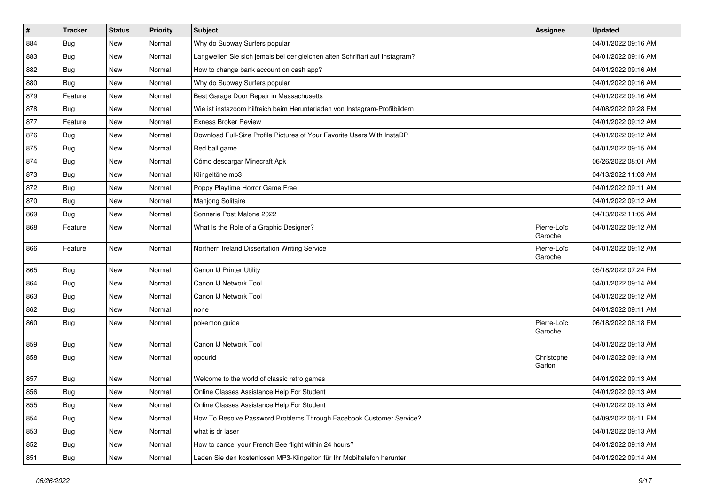| $\vert$ # | <b>Tracker</b> | <b>Status</b> | <b>Priority</b> | <b>Subject</b>                                                              | <b>Assignee</b>        | <b>Updated</b>      |
|-----------|----------------|---------------|-----------------|-----------------------------------------------------------------------------|------------------------|---------------------|
| 884       | <b>Bug</b>     | New           | Normal          | Why do Subway Surfers popular                                               |                        | 04/01/2022 09:16 AM |
| 883       | Bug            | <b>New</b>    | Normal          | Langweilen Sie sich jemals bei der gleichen alten Schriftart auf Instagram? |                        | 04/01/2022 09:16 AM |
| 882       | Bug            | New           | Normal          | How to change bank account on cash app?                                     |                        | 04/01/2022 09:16 AM |
| 880       | Bug            | <b>New</b>    | Normal          | Why do Subway Surfers popular                                               |                        | 04/01/2022 09:16 AM |
| 879       | Feature        | <b>New</b>    | Normal          | Best Garage Door Repair in Massachusetts                                    |                        | 04/01/2022 09:16 AM |
| 878       | Bug            | New           | Normal          | Wie ist instazoom hilfreich beim Herunterladen von Instagram-Profilbildern  |                        | 04/08/2022 09:28 PM |
| 877       | Feature        | New           | Normal          | <b>Exness Broker Review</b>                                                 |                        | 04/01/2022 09:12 AM |
| 876       | <b>Bug</b>     | New           | Normal          | Download Full-Size Profile Pictures of Your Favorite Users With InstaDP     |                        | 04/01/2022 09:12 AM |
| 875       | Bug            | <b>New</b>    | Normal          | Red ball game                                                               |                        | 04/01/2022 09:15 AM |
| 874       | Bug            | <b>New</b>    | Normal          | Cómo descargar Minecraft Apk                                                |                        | 06/26/2022 08:01 AM |
| 873       | <b>Bug</b>     | New           | Normal          | Klingeltöne mp3                                                             |                        | 04/13/2022 11:03 AM |
| 872       | Bug            | New           | Normal          | Poppy Playtime Horror Game Free                                             |                        | 04/01/2022 09:11 AM |
| 870       | Bug            | New           | Normal          | Mahjong Solitaire                                                           |                        | 04/01/2022 09:12 AM |
| 869       | <b>Bug</b>     | <b>New</b>    | Normal          | Sonnerie Post Malone 2022                                                   |                        | 04/13/2022 11:05 AM |
| 868       | Feature        | New           | Normal          | What Is the Role of a Graphic Designer?                                     | Pierre-Loïc<br>Garoche | 04/01/2022 09:12 AM |
| 866       | Feature        | New           | Normal          | Northern Ireland Dissertation Writing Service                               | Pierre-Loïc<br>Garoche | 04/01/2022 09:12 AM |
| 865       | <b>Bug</b>     | New           | Normal          | Canon IJ Printer Utility                                                    |                        | 05/18/2022 07:24 PM |
| 864       | Bug            | New           | Normal          | Canon IJ Network Tool                                                       |                        | 04/01/2022 09:14 AM |
| 863       | Bug            | <b>New</b>    | Normal          | Canon IJ Network Tool                                                       |                        | 04/01/2022 09:12 AM |
| 862       | Bug            | New           | Normal          | none                                                                        |                        | 04/01/2022 09:11 AM |
| 860       | <b>Bug</b>     | New           | Normal          | pokemon guide                                                               | Pierre-Loïc<br>Garoche | 06/18/2022 08:18 PM |
| 859       | Bug            | New           | Normal          | Canon IJ Network Tool                                                       |                        | 04/01/2022 09:13 AM |
| 858       | Bug            | New           | Normal          | opourid                                                                     | Christophe<br>Garion   | 04/01/2022 09:13 AM |
| 857       | Bug            | <b>New</b>    | Normal          | Welcome to the world of classic retro games                                 |                        | 04/01/2022 09:13 AM |
| 856       | <b>Bug</b>     | <b>New</b>    | Normal          | Online Classes Assistance Help For Student                                  |                        | 04/01/2022 09:13 AM |
| 855       | Bug            | New           | Normal          | Online Classes Assistance Help For Student                                  |                        | 04/01/2022 09:13 AM |
| 854       | <b>Bug</b>     | New           | Normal          | How To Resolve Password Problems Through Facebook Customer Service?         |                        | 04/09/2022 06:11 PM |
| 853       | <b>Bug</b>     | New           | Normal          | what is dr laser                                                            |                        | 04/01/2022 09:13 AM |
| 852       | <b>Bug</b>     | New           | Normal          | How to cancel your French Bee flight within 24 hours?                       |                        | 04/01/2022 09:13 AM |
| 851       | <b>Bug</b>     | New           | Normal          | Laden Sie den kostenlosen MP3-Klingelton für Ihr Mobiltelefon herunter      |                        | 04/01/2022 09:14 AM |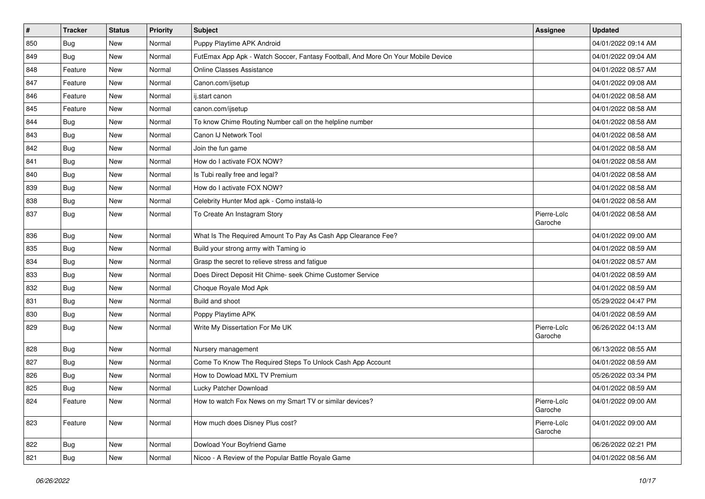| $\vert$ # | <b>Tracker</b> | <b>Status</b> | <b>Priority</b> | Subject                                                                          | Assignee               | <b>Updated</b>      |
|-----------|----------------|---------------|-----------------|----------------------------------------------------------------------------------|------------------------|---------------------|
| 850       | <b>Bug</b>     | New           | Normal          | Puppy Playtime APK Android                                                       |                        | 04/01/2022 09:14 AM |
| 849       | <b>Bug</b>     | New           | Normal          | FutEmax App Apk - Watch Soccer, Fantasy Football, And More On Your Mobile Device |                        | 04/01/2022 09:04 AM |
| 848       | Feature        | New           | Normal          | Online Classes Assistance                                                        |                        | 04/01/2022 08:57 AM |
| 847       | Feature        | <b>New</b>    | Normal          | Canon.com/ijsetup                                                                |                        | 04/01/2022 09:08 AM |
| 846       | Feature        | New           | Normal          | ij.start canon                                                                   |                        | 04/01/2022 08:58 AM |
| 845       | Feature        | New           | Normal          | canon.com/ijsetup                                                                |                        | 04/01/2022 08:58 AM |
| 844       | Bug            | New           | Normal          | To know Chime Routing Number call on the helpline number                         |                        | 04/01/2022 08:58 AM |
| 843       | <b>Bug</b>     | New           | Normal          | Canon IJ Network Tool                                                            |                        | 04/01/2022 08:58 AM |
| 842       | <b>Bug</b>     | New           | Normal          | Join the fun game                                                                |                        | 04/01/2022 08:58 AM |
| 841       | Bug            | New           | Normal          | How do I activate FOX NOW?                                                       |                        | 04/01/2022 08:58 AM |
| 840       | <b>Bug</b>     | New           | Normal          | Is Tubi really free and legal?                                                   |                        | 04/01/2022 08:58 AM |
| 839       | <b>Bug</b>     | New           | Normal          | How do I activate FOX NOW?                                                       |                        | 04/01/2022 08:58 AM |
| 838       | Bug            | New           | Normal          | Celebrity Hunter Mod apk - Como instalá-lo                                       |                        | 04/01/2022 08:58 AM |
| 837       | <b>Bug</b>     | New           | Normal          | To Create An Instagram Story                                                     | Pierre-Loïc<br>Garoche | 04/01/2022 08:58 AM |
| 836       | <b>Bug</b>     | New           | Normal          | What Is The Required Amount To Pay As Cash App Clearance Fee?                    |                        | 04/01/2022 09:00 AM |
| 835       | <b>Bug</b>     | New           | Normal          | Build your strong army with Taming io                                            |                        | 04/01/2022 08:59 AM |
| 834       | Bug            | New           | Normal          | Grasp the secret to relieve stress and fatigue                                   |                        | 04/01/2022 08:57 AM |
| 833       | <b>Bug</b>     | New           | Normal          | Does Direct Deposit Hit Chime- seek Chime Customer Service                       |                        | 04/01/2022 08:59 AM |
| 832       | Bug            | New           | Normal          | Choque Royale Mod Apk                                                            |                        | 04/01/2022 08:59 AM |
| 831       | Bug            | New           | Normal          | Build and shoot                                                                  |                        | 05/29/2022 04:47 PM |
| 830       | <b>Bug</b>     | New           | Normal          | Poppy Playtime APK                                                               |                        | 04/01/2022 08:59 AM |
| 829       | <b>Bug</b>     | New           | Normal          | Write My Dissertation For Me UK                                                  | Pierre-Loïc<br>Garoche | 06/26/2022 04:13 AM |
| 828       | <b>Bug</b>     | New           | Normal          | Nursery management                                                               |                        | 06/13/2022 08:55 AM |
| 827       | Bug            | New           | Normal          | Come To Know The Required Steps To Unlock Cash App Account                       |                        | 04/01/2022 08:59 AM |
| 826       | <b>Bug</b>     | New           | Normal          | How to Dowload MXL TV Premium                                                    |                        | 05/26/2022 03:34 PM |
| 825       | <b>Bug</b>     | New           | Normal          | Lucky Patcher Download                                                           |                        | 04/01/2022 08:59 AM |
| 824       | Feature        | New           | Normal          | How to watch Fox News on my Smart TV or similar devices?                         | Pierre-Loïc<br>Garoche | 04/01/2022 09:00 AM |
| 823       | Feature        | New           | Normal          | How much does Disney Plus cost?                                                  | Pierre-Loïc<br>Garoche | 04/01/2022 09:00 AM |
| 822       | <b>Bug</b>     | New           | Normal          | Dowload Your Boyfriend Game                                                      |                        | 06/26/2022 02:21 PM |
| 821       | <b>Bug</b>     | New           | Normal          | Nicoo - A Review of the Popular Battle Royale Game                               |                        | 04/01/2022 08:56 AM |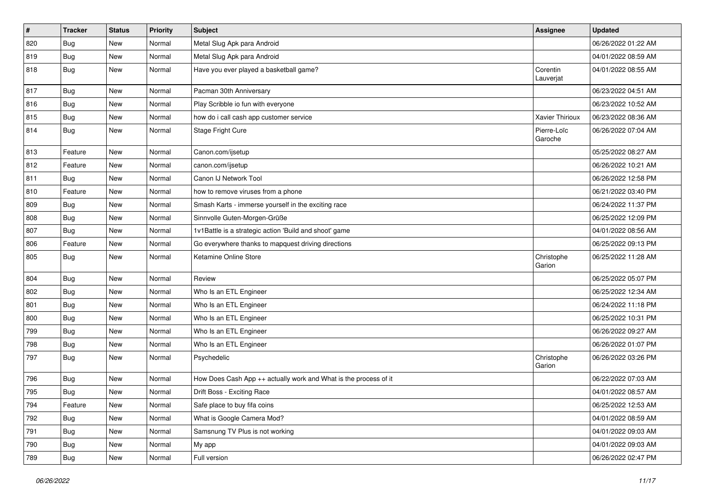| $\vert$ # | <b>Tracker</b> | <b>Status</b> | <b>Priority</b> | Subject                                                          | Assignee               | <b>Updated</b>      |
|-----------|----------------|---------------|-----------------|------------------------------------------------------------------|------------------------|---------------------|
| 820       | <b>Bug</b>     | New           | Normal          | Metal Slug Apk para Android                                      |                        | 06/26/2022 01:22 AM |
| 819       | <b>Bug</b>     | <b>New</b>    | Normal          | Metal Slug Apk para Android                                      |                        | 04/01/2022 08:59 AM |
| 818       | Bug            | New           | Normal          | Have you ever played a basketball game?                          | Corentin<br>Lauverjat  | 04/01/2022 08:55 AM |
| 817       | Bug            | New           | Normal          | Pacman 30th Anniversary                                          |                        | 06/23/2022 04:51 AM |
| 816       | <b>Bug</b>     | New           | Normal          | Play Scribble io fun with everyone                               |                        | 06/23/2022 10:52 AM |
| 815       | <b>Bug</b>     | New           | Normal          | how do i call cash app customer service                          | <b>Xavier Thirioux</b> | 06/23/2022 08:36 AM |
| 814       | Bug            | New           | Normal          | Stage Fright Cure                                                | Pierre-Loïc<br>Garoche | 06/26/2022 07:04 AM |
| 813       | Feature        | <b>New</b>    | Normal          | Canon.com/ijsetup                                                |                        | 05/25/2022 08:27 AM |
| 812       | Feature        | New           | Normal          | canon.com/ijsetup                                                |                        | 06/26/2022 10:21 AM |
| 811       | Bug            | New           | Normal          | Canon IJ Network Tool                                            |                        | 06/26/2022 12:58 PM |
| 810       | Feature        | New           | Normal          | how to remove viruses from a phone                               |                        | 06/21/2022 03:40 PM |
| 809       | <b>Bug</b>     | New           | Normal          | Smash Karts - immerse yourself in the exciting race              |                        | 06/24/2022 11:37 PM |
| 808       | <b>Bug</b>     | New           | Normal          | Sinnvolle Guten-Morgen-Grüße                                     |                        | 06/25/2022 12:09 PM |
| 807       | Bug            | New           | Normal          | 1v1Battle is a strategic action 'Build and shoot' game           |                        | 04/01/2022 08:56 AM |
| 806       | Feature        | New           | Normal          | Go everywhere thanks to mapquest driving directions              |                        | 06/25/2022 09:13 PM |
| 805       | Bug            | New           | Normal          | Ketamine Online Store                                            | Christophe<br>Garion   | 06/25/2022 11:28 AM |
| 804       | Bug            | New           | Normal          | Review                                                           |                        | 06/25/2022 05:07 PM |
| 802       | Bug            | New           | Normal          | Who Is an ETL Engineer                                           |                        | 06/25/2022 12:34 AM |
| 801       | <b>Bug</b>     | New           | Normal          | Who Is an ETL Engineer                                           |                        | 06/24/2022 11:18 PM |
| 800       | <b>Bug</b>     | New           | Normal          | Who Is an ETL Engineer                                           |                        | 06/25/2022 10:31 PM |
| 799       | Bug            | New           | Normal          | Who Is an ETL Engineer                                           |                        | 06/26/2022 09:27 AM |
| 798       | <b>Bug</b>     | New           | Normal          | Who Is an ETL Engineer                                           |                        | 06/26/2022 01:07 PM |
| 797       | <b>Bug</b>     | New           | Normal          | Psychedelic                                                      | Christophe<br>Garion   | 06/26/2022 03:26 PM |
| 796       | Bug            | New           | Normal          | How Does Cash App ++ actually work and What is the process of it |                        | 06/22/2022 07:03 AM |
| 795       | <b>Bug</b>     | New           | Normal          | Drift Boss - Exciting Race                                       |                        | 04/01/2022 08:57 AM |
| 794       | Feature        | New           | Normal          | Safe place to buy fifa coins                                     |                        | 06/25/2022 12:53 AM |
| 792       | Bug            | New           | Normal          | What is Google Camera Mod?                                       |                        | 04/01/2022 08:59 AM |
| 791       | <b>Bug</b>     | New           | Normal          | Samsnung TV Plus is not working                                  |                        | 04/01/2022 09:03 AM |
| 790       | <b>Bug</b>     | New           | Normal          | My app                                                           |                        | 04/01/2022 09:03 AM |
| 789       | <b>Bug</b>     | New           | Normal          | Full version                                                     |                        | 06/26/2022 02:47 PM |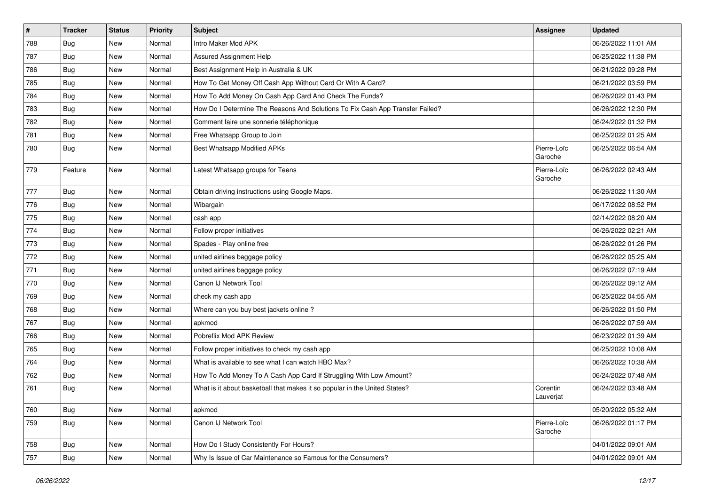| $\pmb{\#}$ | <b>Tracker</b> | <b>Status</b> | <b>Priority</b> | Subject                                                                       | Assignee               | <b>Updated</b>      |
|------------|----------------|---------------|-----------------|-------------------------------------------------------------------------------|------------------------|---------------------|
| 788        | <b>Bug</b>     | New           | Normal          | Intro Maker Mod APK                                                           |                        | 06/26/2022 11:01 AM |
| 787        | Bug            | <b>New</b>    | Normal          | Assured Assignment Help                                                       |                        | 06/25/2022 11:38 PM |
| 786        | Bug            | New           | Normal          | Best Assignment Help in Australia & UK                                        |                        | 06/21/2022 09:28 PM |
| 785        | <b>Bug</b>     | New           | Normal          | How To Get Money Off Cash App Without Card Or With A Card?                    |                        | 06/21/2022 03:59 PM |
| 784        | <b>Bug</b>     | <b>New</b>    | Normal          | How To Add Money On Cash App Card And Check The Funds?                        |                        | 06/26/2022 01:43 PM |
| 783        | Bug            | New           | Normal          | How Do I Determine The Reasons And Solutions To Fix Cash App Transfer Failed? |                        | 06/26/2022 12:30 PM |
| 782        | Bug            | <b>New</b>    | Normal          | Comment faire une sonnerie téléphonique                                       |                        | 06/24/2022 01:32 PM |
| 781        | <b>Bug</b>     | New           | Normal          | Free Whatsapp Group to Join                                                   |                        | 06/25/2022 01:25 AM |
| 780        | Bug            | New           | Normal          | Best Whatsapp Modified APKs                                                   | Pierre-Loïc<br>Garoche | 06/25/2022 06:54 AM |
| 779        | Feature        | New           | Normal          | Latest Whatsapp groups for Teens                                              | Pierre-Loïc<br>Garoche | 06/26/2022 02:43 AM |
| 777        | Bug            | <b>New</b>    | Normal          | Obtain driving instructions using Google Maps.                                |                        | 06/26/2022 11:30 AM |
| 776        | <b>Bug</b>     | New           | Normal          | Wibargain                                                                     |                        | 06/17/2022 08:52 PM |
| 775        | <b>Bug</b>     | <b>New</b>    | Normal          | cash app                                                                      |                        | 02/14/2022 08:20 AM |
| 774        | Bug            | New           | Normal          | Follow proper initiatives                                                     |                        | 06/26/2022 02:21 AM |
| 773        | <b>Bug</b>     | New           | Normal          | Spades - Play online free                                                     |                        | 06/26/2022 01:26 PM |
| 772        | Bug            | <b>New</b>    | Normal          | united airlines baggage policy                                                |                        | 06/26/2022 05:25 AM |
| 771        | <b>Bug</b>     | New           | Normal          | united airlines baggage policy                                                |                        | 06/26/2022 07:19 AM |
| 770        | Bug            | New           | Normal          | Canon IJ Network Tool                                                         |                        | 06/26/2022 09:12 AM |
| 769        | <b>Bug</b>     | <b>New</b>    | Normal          | check my cash app                                                             |                        | 06/25/2022 04:55 AM |
| 768        | <b>Bug</b>     | New           | Normal          | Where can you buy best jackets online?                                        |                        | 06/26/2022 01:50 PM |
| 767        | Bug            | New           | Normal          | apkmod                                                                        |                        | 06/26/2022 07:59 AM |
| 766        | Bug            | New           | Normal          | Pobreflix Mod APK Review                                                      |                        | 06/23/2022 01:39 AM |
| 765        | Bug            | New           | Normal          | Follow proper initiatives to check my cash app                                |                        | 06/25/2022 10:08 AM |
| 764        | Bug            | New           | Normal          | What is available to see what I can watch HBO Max?                            |                        | 06/26/2022 10:38 AM |
| 762        | <b>Bug</b>     | New           | Normal          | How To Add Money To A Cash App Card If Struggling With Low Amount?            |                        | 06/24/2022 07:48 AM |
| 761        | <b>Bug</b>     | New           | Normal          | What is it about basketball that makes it so popular in the United States?    | Corentin<br>Lauverjat  | 06/24/2022 03:48 AM |
| 760        | <b>Bug</b>     | New           | Normal          | apkmod                                                                        |                        | 05/20/2022 05:32 AM |
| 759        | Bug            | New           | Normal          | Canon IJ Network Tool                                                         | Pierre-Loïc<br>Garoche | 06/26/2022 01:17 PM |
| 758        | <b>Bug</b>     | New           | Normal          | How Do I Study Consistently For Hours?                                        |                        | 04/01/2022 09:01 AM |
| 757        | <b>Bug</b>     | New           | Normal          | Why Is Issue of Car Maintenance so Famous for the Consumers?                  |                        | 04/01/2022 09:01 AM |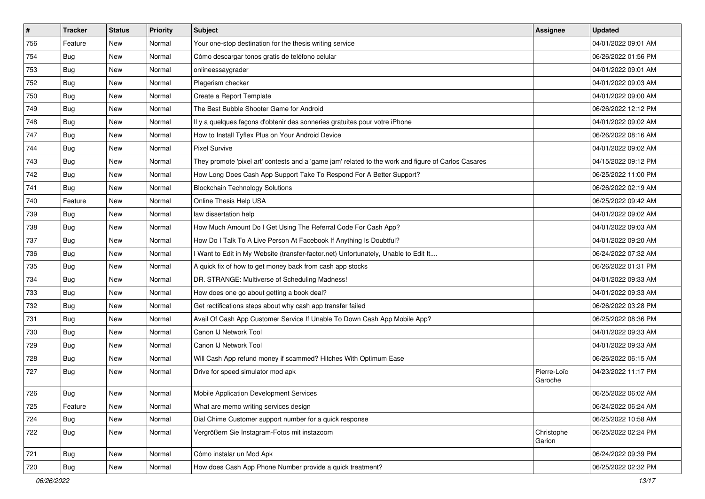| #   | <b>Tracker</b> | <b>Status</b> | <b>Priority</b> | Subject                                                                                             | Assignee               | <b>Updated</b>      |
|-----|----------------|---------------|-----------------|-----------------------------------------------------------------------------------------------------|------------------------|---------------------|
| 756 | Feature        | New           | Normal          | Your one-stop destination for the thesis writing service                                            |                        | 04/01/2022 09:01 AM |
| 754 | <b>Bug</b>     | <b>New</b>    | Normal          | Cómo descargar tonos gratis de teléfono celular                                                     |                        | 06/26/2022 01:56 PM |
| 753 | Bug            | New           | Normal          | onlineessaygrader                                                                                   |                        | 04/01/2022 09:01 AM |
| 752 | Bug            | New           | Normal          | Plagerism checker                                                                                   |                        | 04/01/2022 09:03 AM |
| 750 | Bug            | New           | Normal          | Create a Report Template                                                                            |                        | 04/01/2022 09:00 AM |
| 749 | <b>Bug</b>     | New           | Normal          | The Best Bubble Shooter Game for Android                                                            |                        | 06/26/2022 12:12 PM |
| 748 | Bug            | <b>New</b>    | Normal          | Il y a quelques façons d'obtenir des sonneries gratuites pour votre iPhone                          |                        | 04/01/2022 09:02 AM |
| 747 | <b>Bug</b>     | New           | Normal          | How to Install Tyflex Plus on Your Android Device                                                   |                        | 06/26/2022 08:16 AM |
| 744 | <b>Bug</b>     | New           | Normal          | <b>Pixel Survive</b>                                                                                |                        | 04/01/2022 09:02 AM |
| 743 | Bug            | <b>New</b>    | Normal          | They promote 'pixel art' contests and a 'game jam' related to the work and figure of Carlos Casares |                        | 04/15/2022 09:12 PM |
| 742 | <b>Bug</b>     | New           | Normal          | How Long Does Cash App Support Take To Respond For A Better Support?                                |                        | 06/25/2022 11:00 PM |
| 741 | Bug            | New           | Normal          | <b>Blockchain Technology Solutions</b>                                                              |                        | 06/26/2022 02:19 AM |
| 740 | Feature        | New           | Normal          | Online Thesis Help USA                                                                              |                        | 06/25/2022 09:42 AM |
| 739 | <b>Bug</b>     | New           | Normal          | law dissertation help                                                                               |                        | 04/01/2022 09:02 AM |
| 738 | <b>Bug</b>     | New           | Normal          | How Much Amount Do I Get Using The Referral Code For Cash App?                                      |                        | 04/01/2022 09:03 AM |
| 737 | <b>Bug</b>     | New           | Normal          | How Do I Talk To A Live Person At Facebook If Anything Is Doubtful?                                 |                        | 04/01/2022 09:20 AM |
| 736 | Bug            | New           | Normal          | I Want to Edit in My Website (transfer-factor.net) Unfortunately, Unable to Edit It                 |                        | 06/24/2022 07:32 AM |
| 735 | <b>Bug</b>     | New           | Normal          | A quick fix of how to get money back from cash app stocks                                           |                        | 06/26/2022 01:31 PM |
| 734 | Bug            | New           | Normal          | DR. STRANGE: Multiverse of Scheduling Madness!                                                      |                        | 04/01/2022 09:33 AM |
| 733 | Bug            | New           | Normal          | How does one go about getting a book deal?                                                          |                        | 04/01/2022 09:33 AM |
| 732 | <b>Bug</b>     | New           | Normal          | Get rectifications steps about why cash app transfer failed                                         |                        | 06/26/2022 03:28 PM |
| 731 | Bug            | <b>New</b>    | Normal          | Avail Of Cash App Customer Service If Unable To Down Cash App Mobile App?                           |                        | 06/25/2022 08:36 PM |
| 730 | Bug            | <b>New</b>    | Normal          | Canon IJ Network Tool                                                                               |                        | 04/01/2022 09:33 AM |
| 729 | <b>Bug</b>     | New           | Normal          | Canon IJ Network Tool                                                                               |                        | 04/01/2022 09:33 AM |
| 728 | <b>Bug</b>     | <b>New</b>    | Normal          | Will Cash App refund money if scammed? Hitches With Optimum Ease                                    |                        | 06/26/2022 06:15 AM |
| 727 | Bug            | New           | Normal          | Drive for speed simulator mod apk                                                                   | Pierre-Loïc<br>Garoche | 04/23/2022 11:17 PM |
| 726 | <b>Bug</b>     | New           | Normal          | Mobile Application Development Services                                                             |                        | 06/25/2022 06:02 AM |
| 725 | Feature        | New           | Normal          | What are memo writing services design                                                               |                        | 06/24/2022 06:24 AM |
| 724 | <b>Bug</b>     | New           | Normal          | Dial Chime Customer support number for a quick response                                             |                        | 06/25/2022 10:58 AM |
| 722 | <b>Bug</b>     | New           | Normal          | Vergrößern Sie Instagram-Fotos mit instazoom                                                        | Christophe<br>Garion   | 06/25/2022 02:24 PM |
| 721 | Bug            | <b>New</b>    | Normal          | Cómo instalar un Mod Apk                                                                            |                        | 06/24/2022 09:39 PM |
| 720 | <b>Bug</b>     | New           | Normal          | How does Cash App Phone Number provide a quick treatment?                                           |                        | 06/25/2022 02:32 PM |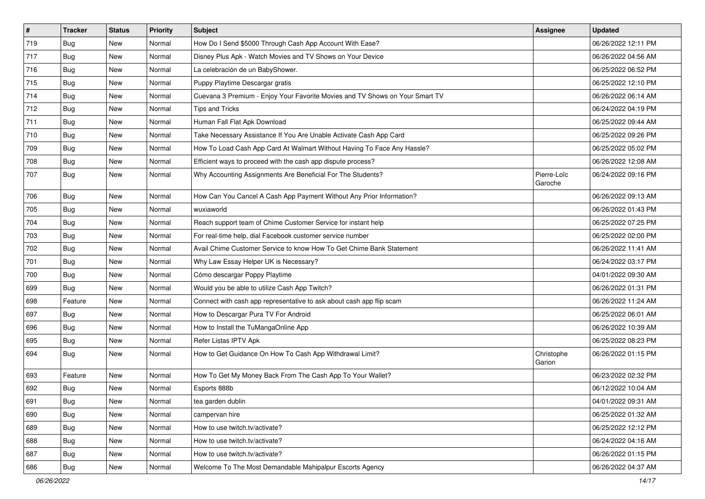| $\vert$ # | <b>Tracker</b> | <b>Status</b> | <b>Priority</b> | <b>Subject</b>                                                               | Assignee               | <b>Updated</b>      |
|-----------|----------------|---------------|-----------------|------------------------------------------------------------------------------|------------------------|---------------------|
| 719       | <b>Bug</b>     | New           | Normal          | How Do I Send \$5000 Through Cash App Account With Ease?                     |                        | 06/26/2022 12:11 PM |
| 717       | Bug            | <b>New</b>    | Normal          | Disney Plus Apk - Watch Movies and TV Shows on Your Device                   |                        | 06/26/2022 04:56 AM |
| 716       | Bug            | New           | Normal          | La celebración de un BabyShower.                                             |                        | 06/25/2022 06:52 PM |
| 715       | Bug            | New           | Normal          | Puppy Playtime Descargar gratis                                              |                        | 06/25/2022 12:10 PM |
| 714       | <b>Bug</b>     | New           | Normal          | Cuevana 3 Premium - Enjoy Your Favorite Movies and TV Shows on Your Smart TV |                        | 06/26/2022 06:14 AM |
| 712       | Bug            | New           | Normal          | <b>Tips and Tricks</b>                                                       |                        | 06/24/2022 04:19 PM |
| 711       | Bug            | New           | Normal          | Human Fall Flat Apk Download                                                 |                        | 06/25/2022 09:44 AM |
| 710       | <b>Bug</b>     | New           | Normal          | Take Necessary Assistance If You Are Unable Activate Cash App Card           |                        | 06/25/2022 09:26 PM |
| 709       | Bug            | New           | Normal          | How To Load Cash App Card At Walmart Without Having To Face Any Hassle?      |                        | 06/25/2022 05:02 PM |
| 708       | Bug            | New           | Normal          | Efficient ways to proceed with the cash app dispute process?                 |                        | 06/26/2022 12:08 AM |
| 707       | <b>Bug</b>     | New           | Normal          | Why Accounting Assignments Are Beneficial For The Students?                  | Pierre-Loïc<br>Garoche | 06/24/2022 09:16 PM |
| 706       | Bug            | <b>New</b>    | Normal          | How Can You Cancel A Cash App Payment Without Any Prior Information?         |                        | 06/26/2022 09:13 AM |
| 705       | <b>Bug</b>     | New           | Normal          | wuxiaworld                                                                   |                        | 06/26/2022 01:43 PM |
| 704       | Bug            | New           | Normal          | Reach support team of Chime Customer Service for instant help                |                        | 06/25/2022 07:25 PM |
| 703       | <b>Bug</b>     | New           | Normal          | For real-time help, dial Facebook customer service number                    |                        | 06/25/2022 02:00 PM |
| 702       | <b>Bug</b>     | New           | Normal          | Avail Chime Customer Service to know How To Get Chime Bank Statement         |                        | 06/26/2022 11:41 AM |
| 701       | Bug            | New           | Normal          | Why Law Essay Helper UK is Necessary?                                        |                        | 06/24/2022 03:17 PM |
| 700       | <b>Bug</b>     | New           | Normal          | Cómo descargar Poppy Playtime                                                |                        | 04/01/2022 09:30 AM |
| 699       | <b>Bug</b>     | New           | Normal          | Would you be able to utilize Cash App Twitch?                                |                        | 06/26/2022 01:31 PM |
| 698       | Feature        | <b>New</b>    | Normal          | Connect with cash app representative to ask about cash app flip scam         |                        | 06/26/2022 11:24 AM |
| 697       | <b>Bug</b>     | New           | Normal          | How to Descargar Pura TV For Android                                         |                        | 06/25/2022 06:01 AM |
| 696       | <b>Bug</b>     | New           | Normal          | How to Install the TuMangaOnline App                                         |                        | 06/26/2022 10:39 AM |
| 695       | <b>Bug</b>     | New           | Normal          | Refer Listas IPTV Apk                                                        |                        | 06/25/2022 08:23 PM |
| 694       | <b>Bug</b>     | New           | Normal          | How to Get Guidance On How To Cash App Withdrawal Limit?                     | Christophe<br>Garion   | 06/26/2022 01:15 PM |
| 693       | Feature        | New           | Normal          | How To Get My Money Back From The Cash App To Your Wallet?                   |                        | 06/23/2022 02:32 PM |
| 692       | <b>Bug</b>     | New           | Normal          | Esports 888b                                                                 |                        | 06/12/2022 10:04 AM |
| 691       | Bug            | New           | Normal          | tea garden dublin                                                            |                        | 04/01/2022 09:31 AM |
| 690       | <b>Bug</b>     | New           | Normal          | campervan hire                                                               |                        | 06/25/2022 01:32 AM |
| 689       | Bug            | New           | Normal          | How to use twitch.tv/activate?                                               |                        | 06/25/2022 12:12 PM |
| 688       | <b>Bug</b>     | New           | Normal          | How to use twitch.tv/activate?                                               |                        | 06/24/2022 04:16 AM |
| 687       | <b>Bug</b>     | New           | Normal          | How to use twitch.tv/activate?                                               |                        | 06/26/2022 01:15 PM |
| 686       | Bug            | New           | Normal          | Welcome To The Most Demandable Mahipalpur Escorts Agency                     |                        | 06/26/2022 04:37 AM |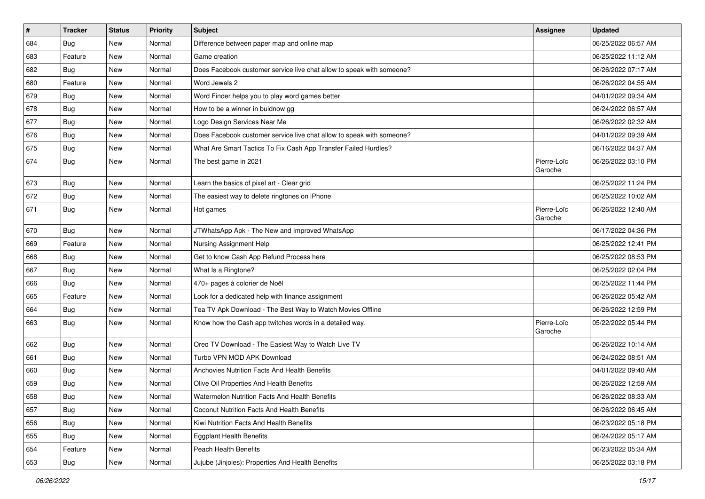| $\sharp$ | <b>Tracker</b> | <b>Status</b> | Priority | Subject                                                               | Assignee               | <b>Updated</b>      |
|----------|----------------|---------------|----------|-----------------------------------------------------------------------|------------------------|---------------------|
| 684      | <b>Bug</b>     | New           | Normal   | Difference between paper map and online map                           |                        | 06/25/2022 06:57 AM |
| 683      | Feature        | New           | Normal   | Game creation                                                         |                        | 06/25/2022 11:12 AM |
| 682      | <b>Bug</b>     | New           | Normal   | Does Facebook customer service live chat allow to speak with someone? |                        | 06/26/2022 07:17 AM |
| 680      | Feature        | New           | Normal   | Word Jewels 2                                                         |                        | 06/26/2022 04:55 AM |
| 679      | Bug            | New           | Normal   | Word Finder helps you to play word games better                       |                        | 04/01/2022 09:34 AM |
| 678      | Bug            | New           | Normal   | How to be a winner in buidnow gg                                      |                        | 06/24/2022 06:57 AM |
| 677      | <b>Bug</b>     | New           | Normal   | Logo Design Services Near Me                                          |                        | 06/26/2022 02:32 AM |
| 676      | <b>Bug</b>     | New           | Normal   | Does Facebook customer service live chat allow to speak with someone? |                        | 04/01/2022 09:39 AM |
| 675      | <b>Bug</b>     | New           | Normal   | What Are Smart Tactics To Fix Cash App Transfer Failed Hurdles?       |                        | 06/16/2022 04:37 AM |
| 674      | <b>Bug</b>     | New           | Normal   | The best game in 2021                                                 | Pierre-Loïc<br>Garoche | 06/26/2022 03:10 PM |
| 673      | <b>Bug</b>     | New           | Normal   | Learn the basics of pixel art - Clear grid                            |                        | 06/25/2022 11:24 PM |
| 672      | <b>Bug</b>     | New           | Normal   | The easiest way to delete ringtones on iPhone                         |                        | 06/25/2022 10:02 AM |
| 671      | <b>Bug</b>     | New           | Normal   | Hot games                                                             | Pierre-Loïc<br>Garoche | 06/26/2022 12:40 AM |
| 670      | <b>Bug</b>     | New           | Normal   | JTWhatsApp Apk - The New and Improved WhatsApp                        |                        | 06/17/2022 04:36 PM |
| 669      | Feature        | New           | Normal   | Nursing Assignment Help                                               |                        | 06/25/2022 12:41 PM |
| 668      | Bug            | New           | Normal   | Get to know Cash App Refund Process here                              |                        | 06/25/2022 08:53 PM |
| 667      | <b>Bug</b>     | New           | Normal   | What Is a Ringtone?                                                   |                        | 06/25/2022 02:04 PM |
| 666      | <b>Bug</b>     | New           | Normal   | 470+ pages à colorier de Noël                                         |                        | 06/25/2022 11:44 PM |
| 665      | Feature        | New           | Normal   | Look for a dedicated help with finance assignment                     |                        | 06/26/2022 05:42 AM |
| 664      | <b>Bug</b>     | New           | Normal   | Tea TV Apk Download - The Best Way to Watch Movies Offline            |                        | 06/26/2022 12:59 PM |
| 663      | <b>Bug</b>     | New           | Normal   | Know how the Cash app twitches words in a detailed way.               | Pierre-Loïc<br>Garoche | 05/22/2022 05:44 PM |
| 662      | <b>Bug</b>     | New           | Normal   | Oreo TV Download - The Easiest Way to Watch Live TV                   |                        | 06/26/2022 10:14 AM |
| 661      | Bug            | New           | Normal   | Turbo VPN MOD APK Download                                            |                        | 06/24/2022 08:51 AM |
| 660      | <b>Bug</b>     | New           | Normal   | Anchovies Nutrition Facts And Health Benefits                         |                        | 04/01/2022 09:40 AM |
| 659      | <b>Bug</b>     | New           | Normal   | Olive Oil Properties And Health Benefits                              |                        | 06/26/2022 12:59 AM |
| 658      | Bug            | New           | Normal   | Watermelon Nutrition Facts And Health Benefits                        |                        | 06/26/2022 08:33 AM |
| 657      | Bug            | New           | Normal   | Coconut Nutrition Facts And Health Benefits                           |                        | 06/26/2022 06:45 AM |
| 656      | <b>Bug</b>     | New           | Normal   | Kiwi Nutrition Facts And Health Benefits                              |                        | 06/23/2022 05:18 PM |
| 655      | <b>Bug</b>     | New           | Normal   | <b>Eggplant Health Benefits</b>                                       |                        | 06/24/2022 05:17 AM |
| 654      | Feature        | New           | Normal   | Peach Health Benefits                                                 |                        | 06/23/2022 05:34 AM |
| 653      | Bug            | New           | Normal   | Jujube (Jinjoles): Properties And Health Benefits                     |                        | 06/25/2022 03:18 PM |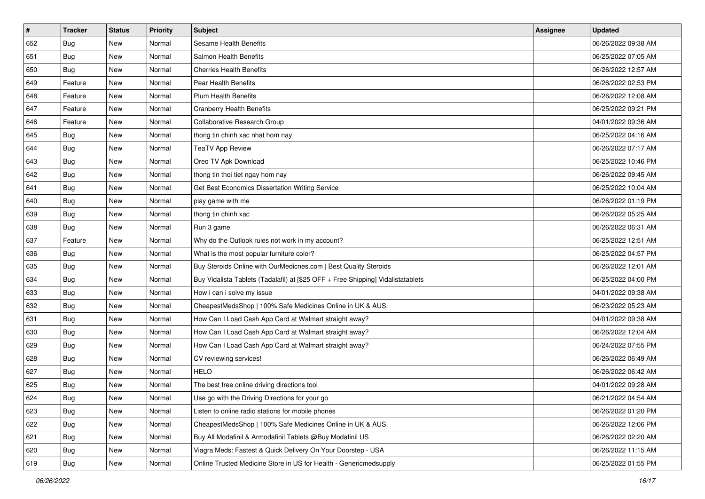| $\vert$ # | <b>Tracker</b> | <b>Status</b> | <b>Priority</b> | <b>Subject</b>                                                                   | <b>Assignee</b> | <b>Updated</b>      |
|-----------|----------------|---------------|-----------------|----------------------------------------------------------------------------------|-----------------|---------------------|
| 652       | <b>Bug</b>     | New           | Normal          | Sesame Health Benefits                                                           |                 | 06/26/2022 09:38 AM |
| 651       | <b>Bug</b>     | New           | Normal          | Salmon Health Benefits                                                           |                 | 06/25/2022 07:05 AM |
| 650       | Bug            | New           | Normal          | <b>Cherries Health Benefits</b>                                                  |                 | 06/26/2022 12:57 AM |
| 649       | Feature        | New           | Normal          | <b>Pear Health Benefits</b>                                                      |                 | 06/26/2022 02:53 PM |
| 648       | Feature        | New           | Normal          | <b>Plum Health Benefits</b>                                                      |                 | 06/26/2022 12:08 AM |
| 647       | Feature        | New           | Normal          | <b>Cranberry Health Benefits</b>                                                 |                 | 06/25/2022 09:21 PM |
| 646       | Feature        | New           | Normal          | Collaborative Research Group                                                     |                 | 04/01/2022 09:36 AM |
| 645       | Bug            | New           | Normal          | thong tin chinh xac nhat hom nay                                                 |                 | 06/25/2022 04:16 AM |
| 644       | Bug            | New           | Normal          | <b>TeaTV App Review</b>                                                          |                 | 06/26/2022 07:17 AM |
| 643       | Bug            | New           | Normal          | Oreo TV Apk Download                                                             |                 | 06/25/2022 10:46 PM |
| 642       | <b>Bug</b>     | New           | Normal          | thong tin thoi tiet ngay hom nay                                                 |                 | 06/26/2022 09:45 AM |
| 641       | <b>Bug</b>     | New           | Normal          | Get Best Economics Dissertation Writing Service                                  |                 | 06/25/2022 10:04 AM |
| 640       | Bug            | New           | Normal          | play game with me                                                                |                 | 06/26/2022 01:19 PM |
| 639       | <b>Bug</b>     | New           | Normal          | thong tin chinh xac                                                              |                 | 06/26/2022 05:25 AM |
| 638       | <b>Bug</b>     | <b>New</b>    | Normal          | Run 3 game                                                                       |                 | 06/26/2022 06:31 AM |
| 637       | Feature        | New           | Normal          | Why do the Outlook rules not work in my account?                                 |                 | 06/25/2022 12:51 AM |
| 636       | <b>Bug</b>     | New           | Normal          | What is the most popular furniture color?                                        |                 | 06/25/2022 04:57 PM |
| 635       | Bug            | New           | Normal          | Buy Steroids Online with OurMedicnes.com   Best Quality Steroids                 |                 | 06/26/2022 12:01 AM |
| 634       | <b>Bug</b>     | New           | Normal          | Buy Vidalista Tablets (Tadalafil) at [\$25 OFF + Free Shipping] Vidalistatablets |                 | 06/25/2022 04:00 PM |
| 633       | <b>Bug</b>     | New           | Normal          | How i can i solve my issue                                                       |                 | 04/01/2022 09:38 AM |
| 632       | <b>Bug</b>     | New           | Normal          | CheapestMedsShop   100% Safe Medicines Online in UK & AUS.                       |                 | 06/23/2022 05:23 AM |
| 631       | <b>Bug</b>     | New           | Normal          | How Can I Load Cash App Card at Walmart straight away?                           |                 | 04/01/2022 09:38 AM |
| 630       | Bug            | New           | Normal          | How Can I Load Cash App Card at Walmart straight away?                           |                 | 06/26/2022 12:04 AM |
| 629       | <b>Bug</b>     | New           | Normal          | How Can I Load Cash App Card at Walmart straight away?                           |                 | 06/24/2022 07:55 PM |
| 628       | <b>Bug</b>     | New           | Normal          | CV reviewing services!                                                           |                 | 06/26/2022 06:49 AM |
| 627       | Bug            | New           | Normal          | <b>HELO</b>                                                                      |                 | 06/26/2022 06:42 AM |
| 625       | <b>Bug</b>     | New           | Normal          | The best free online driving directions tool                                     |                 | 04/01/2022 09:28 AM |
| 624       | <b>Bug</b>     | New           | Normal          | Use go with the Driving Directions for your go                                   |                 | 06/21/2022 04:54 AM |
| 623       | <b>Bug</b>     | New           | Normal          | Listen to online radio stations for mobile phones                                |                 | 06/26/2022 01:20 PM |
| 622       | <b>Bug</b>     | New           | Normal          | CheapestMedsShop   100% Safe Medicines Online in UK & AUS.                       |                 | 06/26/2022 12:06 PM |
| 621       | <b>Bug</b>     | New           | Normal          | Buy All Modafinil & Armodafinil Tablets @Buy Modafinil US                        |                 | 06/26/2022 02:20 AM |
| 620       | <b>Bug</b>     | New           | Normal          | Viagra Meds: Fastest & Quick Delivery On Your Doorstep - USA                     |                 | 06/26/2022 11:15 AM |
| 619       | <b>Bug</b>     | New           | Normal          | Online Trusted Medicine Store in US for Health - Genericmedsupply                |                 | 06/25/2022 01:55 PM |